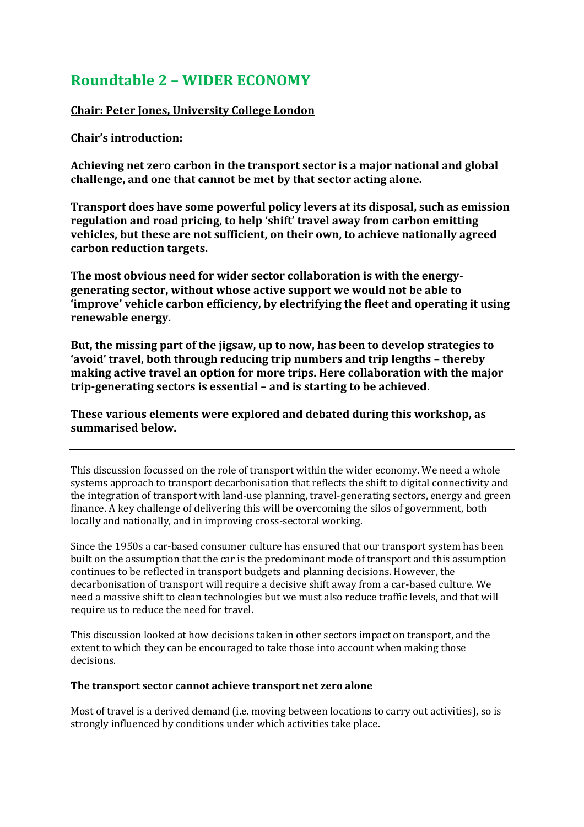# **Roundtable 2 – WIDER ECONOMY**

# **Chair: Peter Jones, University College London**

**Chair's introduction:**

**Achieving net zero carbon in the transport sector is a major national and global challenge, and one that cannot be met by that sector acting alone.**

**Transport does have some powerful policy levers at its disposal, such as emission regulation and road pricing, to help 'shift' travel away from carbon emitting vehicles, but these are not sufficient, on their own, to achieve nationally agreed carbon reduction targets.**

**The most obvious need for wider sector collaboration is with the energygenerating sector, without whose active support we would not be able to 'improve' vehicle carbon efficiency, by electrifying the fleet and operating it using renewable energy.**

**But, the missing part of the jigsaw, up to now, has been to develop strategies to 'avoid' travel, both through reducing trip numbers and trip lengths – thereby making active travel an option for more trips. Here collaboration with the major trip-generating sectors is essential – and is starting to be achieved.**

**These various elements were explored and debated during this workshop, as summarised below.**

This discussion focussed on the role of transport within the wider economy. We need a whole systems approach to transport decarbonisation that reflects the shift to digital connectivity and the integration of transport with land-use planning, travel-generating sectors, energy and green finance. A key challenge of delivering this will be overcoming the silos of government, both locally and nationally, and in improving cross-sectoral working.

Since the 1950s a car-based consumer culture has ensured that our transport system has been built on the assumption that the car is the predominant mode of transport and this assumption continues to be reflected in transport budgets and planning decisions. However, the decarbonisation of transport will require a decisive shift away from a car-based culture. We need a massive shift to clean technologies but we must also reduce traffic levels, and that will require us to reduce the need for travel.

This discussion looked at how decisions taken in other sectors impact on transport, and the extent to which they can be encouraged to take those into account when making those decisions.

## **The transport sector cannot achieve transport net zero alone**

Most of travel is a derived demand (i.e. moving between locations to carry out activities), so is strongly influenced by conditions under which activities take place.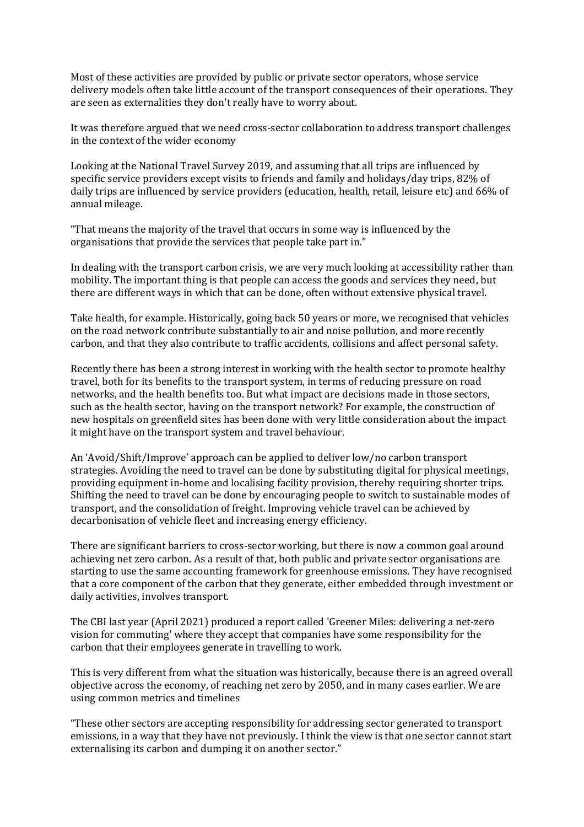Most of these activities are provided by public or private sector operators, whose service delivery models often take little account of the transport consequences of their operations. They are seen as externalities they don't really have to worry about.

It was therefore argued that we need cross-sector collaboration to address transport challenges in the context of the wider economy

Looking at the National Travel Survey 2019, and assuming that all trips are influenced by specific service providers except visits to friends and family and holidays/day trips, 82% of daily trips are influenced by service providers (education, health, retail, leisure etc) and 66% of annual mileage.

"That means the majority of the travel that occurs in some way is influenced by the organisations that provide the services that people take part in."

In dealing with the transport carbon crisis, we are very much looking at accessibility rather than mobility. The important thing is that people can access the goods and services they need, but there are different ways in which that can be done, often without extensive physical travel.

Take health, for example. Historically, going back 50 years or more, we recognised that vehicles on the road network contribute substantially to air and noise pollution, and more recently carbon, and that they also contribute to traffic accidents, collisions and affect personal safety.

Recently there has been a strong interest in working with the health sector to promote healthy travel, both for its benefits to the transport system, in terms of reducing pressure on road networks, and the health benefits too. But what impact are decisions made in those sectors, such as the health sector, having on the transport network? For example, the construction of new hospitals on greenfield sites has been done with very little consideration about the impact it might have on the transport system and travel behaviour.

An 'Avoid/Shift/Improve' approach can be applied to deliver low/no carbon transport strategies. Avoiding the need to travel can be done by substituting digital for physical meetings, providing equipment in-home and localising facility provision, thereby requiring shorter trips. Shifting the need to travel can be done by encouraging people to switch to sustainable modes of transport, and the consolidation of freight. Improving vehicle travel can be achieved by decarbonisation of vehicle fleet and increasing energy efficiency.

There are significant barriers to cross-sector working, but there is now a common goal around achieving net zero carbon. As a result of that, both public and private sector organisations are starting to use the same accounting framework for greenhouse emissions. They have recognised that a core component of the carbon that they generate, either embedded through investment or daily activities, involves transport.

The CBI last year (April 2021) produced a report called 'Greener Miles: delivering a net-zero vision for commuting' where they accept that companies have some responsibility for the carbon that their employees generate in travelling to work.

This is very different from what the situation was historically, because there is an agreed overall objective across the economy, of reaching net zero by 2050, and in many cases earlier. We are using common metrics and timelines

"These other sectors are accepting responsibility for addressing sector generated to transport emissions, in a way that they have not previously. I think the view is that one sector cannot start externalising its carbon and dumping it on another sector."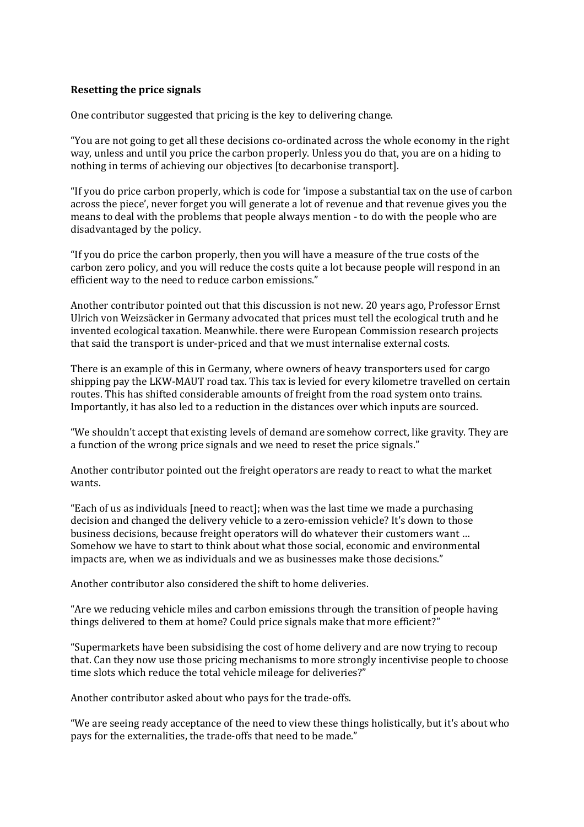## **Resetting the price signals**

One contributor suggested that pricing is the key to delivering change.

"You are not going to get all these decisions co-ordinated across the whole economy in the right way, unless and until you price the carbon properly. Unless you do that, you are on a hiding to nothing in terms of achieving our objectives [to decarbonise transport].

"If you do price carbon properly, which is code for 'impose a substantial tax on the use of carbon across the piece', never forget you will generate a lot of revenue and that revenue gives you the means to deal with the problems that people always mention - to do with the people who are disadvantaged by the policy.

"If you do price the carbon properly, then you will have a measure of the true costs of the carbon zero policy, and you will reduce the costs quite a lot because people will respond in an efficient way to the need to reduce carbon emissions."

Another contributor pointed out that this discussion is not new. 20 years ago, Professor Ernst Ulrich von Weizsäcker in Germany advocated that prices must tell the ecological truth and he invented ecological taxation. Meanwhile. there were European Commission research projects that said the transport is under-priced and that we must internalise external costs.

There is an example of this in Germany, where owners of heavy transporters used for cargo shipping pay the LKW-MAUT road tax. This tax is levied for every kilometre travelled on certain routes. This has shifted considerable amounts of freight from the road system onto trains. Importantly, it has also led to a reduction in the distances over which inputs are sourced.

"We shouldn't accept that existing levels of demand are somehow correct, like gravity. They are a function of the wrong price signals and we need to reset the price signals."

Another contributor pointed out the freight operators are ready to react to what the market wants.

"Each of us as individuals [need to react]; when was the last time we made a purchasing decision and changed the delivery vehicle to a zero-emission vehicle? It's down to those business decisions, because freight operators will do whatever their customers want … Somehow we have to start to think about what those social, economic and environmental impacts are, when we as individuals and we as businesses make those decisions."

Another contributor also considered the shift to home deliveries.

"Are we reducing vehicle miles and carbon emissions through the transition of people having things delivered to them at home? Could price signals make that more efficient?"

"Supermarkets have been subsidising the cost of home delivery and are now trying to recoup that. Can they now use those pricing mechanisms to more strongly incentivise people to choose time slots which reduce the total vehicle mileage for deliveries?"

Another contributor asked about who pays for the trade-offs.

"We are seeing ready acceptance of the need to view these things holistically, but it's about who pays for the externalities, the trade-offs that need to be made."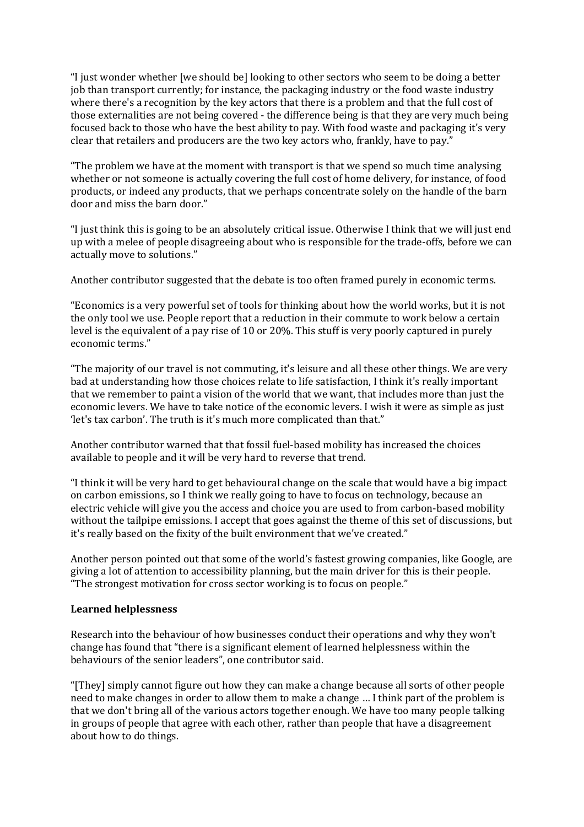"I just wonder whether [we should be] looking to other sectors who seem to be doing a better job than transport currently; for instance, the packaging industry or the food waste industry where there's a recognition by the key actors that there is a problem and that the full cost of those externalities are not being covered - the difference being is that they are very much being focused back to those who have the best ability to pay. With food waste and packaging it's very clear that retailers and producers are the two key actors who, frankly, have to pay."

"The problem we have at the moment with transport is that we spend so much time analysing whether or not someone is actually covering the full cost of home delivery, for instance, of food products, or indeed any products, that we perhaps concentrate solely on the handle of the barn door and miss the barn door."

"I just think this is going to be an absolutely critical issue. Otherwise I think that we will just end up with a melee of people disagreeing about who is responsible for the trade-offs, before we can actually move to solutions."

Another contributor suggested that the debate is too often framed purely in economic terms.

"Economics is a very powerful set of tools for thinking about how the world works, but it is not the only tool we use. People report that a reduction in their commute to work below a certain level is the equivalent of a pay rise of 10 or 20%. This stuff is very poorly captured in purely economic terms."

"The majority of our travel is not commuting, it's leisure and all these other things. We are very bad at understanding how those choices relate to life satisfaction, I think it's really important that we remember to paint a vision of the world that we want, that includes more than just the economic levers. We have to take notice of the economic levers. I wish it were as simple as just 'let's tax carbon'. The truth is it's much more complicated than that."

Another contributor warned that that fossil fuel-based mobility has increased the choices available to people and it will be very hard to reverse that trend.

"I think it will be very hard to get behavioural change on the scale that would have a big impact on carbon emissions, so I think we really going to have to focus on technology, because an electric vehicle will give you the access and choice you are used to from carbon-based mobility without the tailpipe emissions. I accept that goes against the theme of this set of discussions, but it's really based on the fixity of the built environment that we've created."

Another person pointed out that some of the world's fastest growing companies, like Google, are giving a lot of attention to accessibility planning, but the main driver for this is their people. "The strongest motivation for cross sector working is to focus on people."

#### **Learned helplessness**

Research into the behaviour of how businesses conduct their operations and why they won't change has found that "there is a significant element of learned helplessness within the behaviours of the senior leaders", one contributor said.

"[They] simply cannot figure out how they can make a change because all sorts of other people need to make changes in order to allow them to make a change … I think part of the problem is that we don't bring all of the various actors together enough. We have too many people talking in groups of people that agree with each other, rather than people that have a disagreement about how to do things.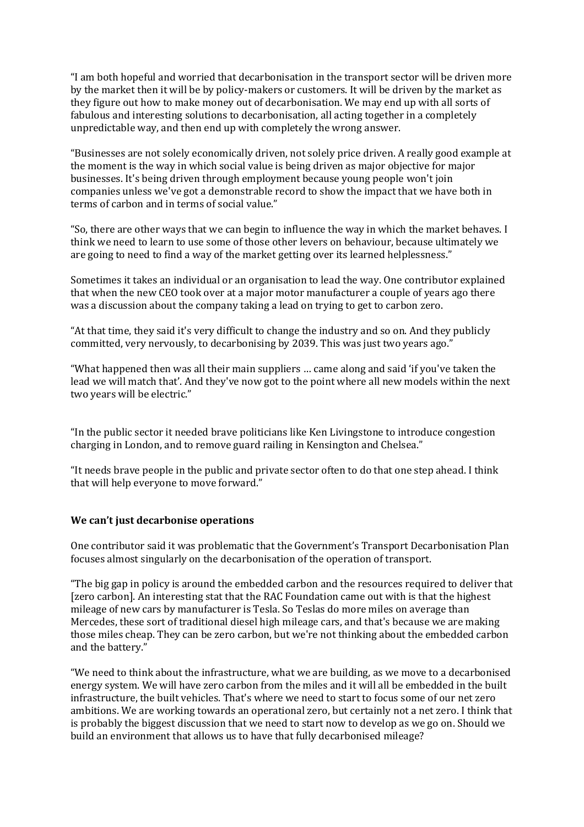"I am both hopeful and worried that decarbonisation in the transport sector will be driven more by the market then it will be by policy-makers or customers. It will be driven by the market as they figure out how to make money out of decarbonisation. We may end up with all sorts of fabulous and interesting solutions to decarbonisation, all acting together in a completely unpredictable way, and then end up with completely the wrong answer.

"Businesses are not solely economically driven, not solely price driven. A really good example at the moment is the way in which social value is being driven as major objective for major businesses. It's being driven through employment because young people won't join companies unless we've got a demonstrable record to show the impact that we have both in terms of carbon and in terms of social value."

"So, there are other ways that we can begin to influence the way in which the market behaves. I think we need to learn to use some of those other levers on behaviour, because ultimately we are going to need to find a way of the market getting over its learned helplessness."

Sometimes it takes an individual or an organisation to lead the way. One contributor explained that when the new CEO took over at a major motor manufacturer a couple of years ago there was a discussion about the company taking a lead on trying to get to carbon zero.

"At that time, they said it's very difficult to change the industry and so on. And they publicly committed, very nervously, to decarbonising by 2039. This was just two years ago."

"What happened then was all their main suppliers … came along and said 'if you've taken the lead we will match that'. And they've now got to the point where all new models within the next two years will be electric."

"In the public sector it needed brave politicians like Ken Livingstone to introduce congestion charging in London, and to remove guard railing in Kensington and Chelsea."

"It needs brave people in the public and private sector often to do that one step ahead. I think that will help everyone to move forward."

## **We can't just decarbonise operations**

One contributor said it was problematic that the Government's Transport Decarbonisation Plan focuses almost singularly on the decarbonisation of the operation of transport.

"The big gap in policy is around the embedded carbon and the resources required to deliver that [zero carbon]. An interesting stat that the RAC Foundation came out with is that the highest mileage of new cars by manufacturer is Tesla. So Teslas do more miles on average than Mercedes, these sort of traditional diesel high mileage cars, and that's because we are making those miles cheap. They can be zero carbon, but we're not thinking about the embedded carbon and the battery."

"We need to think about the infrastructure, what we are building, as we move to a decarbonised energy system. We will have zero carbon from the miles and it will all be embedded in the built infrastructure, the built vehicles. That's where we need to start to focus some of our net zero ambitions. We are working towards an operational zero, but certainly not a net zero. I think that is probably the biggest discussion that we need to start now to develop as we go on. Should we build an environment that allows us to have that fully decarbonised mileage?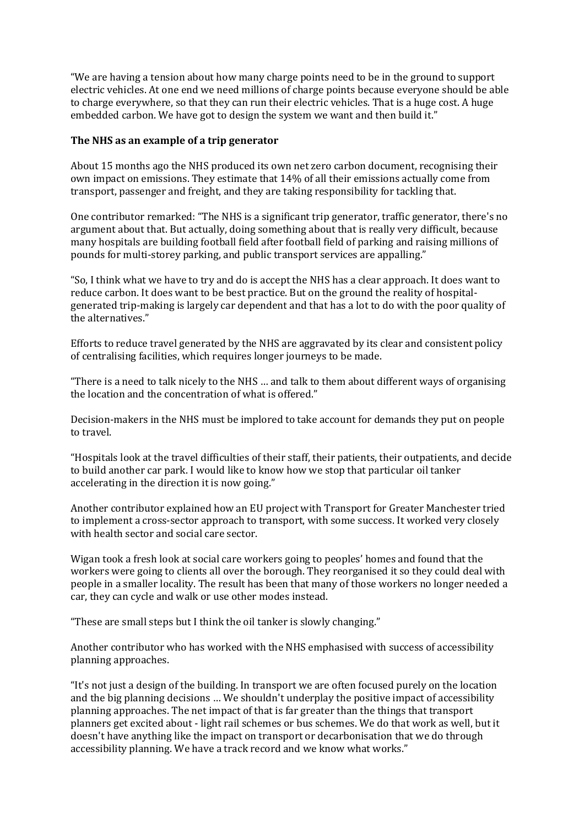"We are having a tension about how many charge points need to be in the ground to support electric vehicles. At one end we need millions of charge points because everyone should be able to charge everywhere, so that they can run their electric vehicles. That is a huge cost. A huge embedded carbon. We have got to design the system we want and then build it."

#### **The NHS as an example of a trip generator**

About 15 months ago the NHS produced its own net zero carbon document, recognising their own impact on emissions. They estimate that 14% of all their emissions actually come from transport, passenger and freight, and they are taking responsibility for tackling that.

One contributor remarked: "The NHS is a significant trip generator, traffic generator, there's no argument about that. But actually, doing something about that is really very difficult, because many hospitals are building football field after football field of parking and raising millions of pounds for multi-storey parking, and public transport services are appalling."

"So, I think what we have to try and do is accept the NHS has a clear approach. It does want to reduce carbon. It does want to be best practice. But on the ground the reality of hospitalgenerated trip-making is largely car dependent and that has a lot to do with the poor quality of the alternatives."

Efforts to reduce travel generated by the NHS are aggravated by its clear and consistent policy of centralising facilities, which requires longer journeys to be made.

"There is a need to talk nicely to the NHS … and talk to them about different ways of organising the location and the concentration of what is offered."

Decision-makers in the NHS must be implored to take account for demands they put on people to travel.

"Hospitals look at the travel difficulties of their staff, their patients, their outpatients, and decide to build another car park. I would like to know how we stop that particular oil tanker accelerating in the direction it is now going."

Another contributor explained how an EU project with Transport for Greater Manchester tried to implement a cross-sector approach to transport, with some success. It worked very closely with health sector and social care sector.

Wigan took a fresh look at social care workers going to peoples' homes and found that the workers were going to clients all over the borough. They reorganised it so they could deal with people in a smaller locality. The result has been that many of those workers no longer needed a car, they can cycle and walk or use other modes instead.

"These are small steps but I think the oil tanker is slowly changing."

Another contributor who has worked with the NHS emphasised with success of accessibility planning approaches.

"It's not just a design of the building. In transport we are often focused purely on the location and the big planning decisions … We shouldn't underplay the positive impact of accessibility planning approaches. The net impact of that is far greater than the things that transport planners get excited about - light rail schemes or bus schemes. We do that work as well, but it doesn't have anything like the impact on transport or decarbonisation that we do through accessibility planning. We have a track record and we know what works."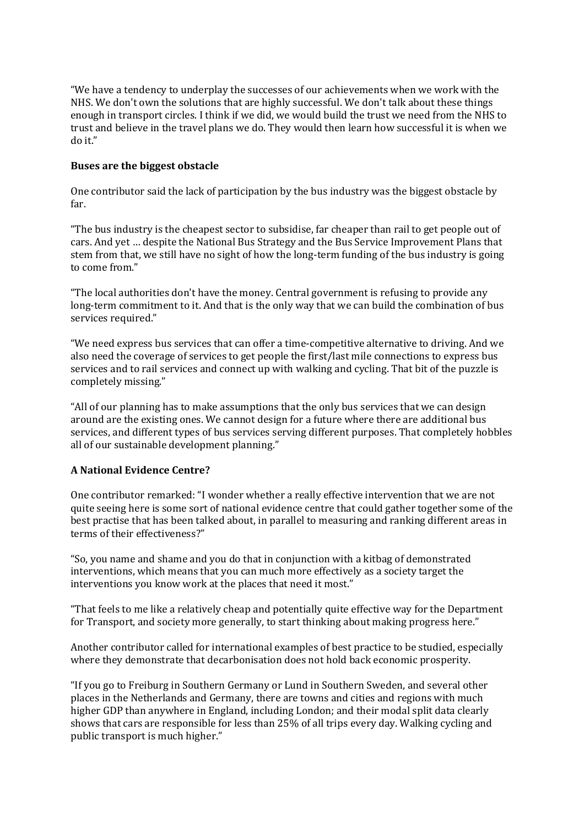"We have a tendency to underplay the successes of our achievements when we work with the NHS. We don't own the solutions that are highly successful. We don't talk about these things enough in transport circles. I think if we did, we would build the trust we need from the NHS to trust and believe in the travel plans we do. They would then learn how successful it is when we do it."

## **Buses are the biggest obstacle**

One contributor said the lack of participation by the bus industry was the biggest obstacle by far.

"The bus industry is the cheapest sector to subsidise, far cheaper than rail to get people out of cars. And yet … despite the National Bus Strategy and the Bus Service Improvement Plans that stem from that, we still have no sight of how the long-term funding of the bus industry is going to come from."

"The local authorities don't have the money. Central government is refusing to provide any long-term commitment to it. And that is the only way that we can build the combination of bus services required."

"We need express bus services that can offer a time-competitive alternative to driving. And we also need the coverage of services to get people the first/last mile connections to express bus services and to rail services and connect up with walking and cycling. That bit of the puzzle is completely missing."

"All of our planning has to make assumptions that the only bus services that we can design around are the existing ones. We cannot design for a future where there are additional bus services, and different types of bus services serving different purposes. That completely hobbles all of our sustainable development planning."

# **A National Evidence Centre?**

One contributor remarked: "I wonder whether a really effective intervention that we are not quite seeing here is some sort of national evidence centre that could gather together some of the best practise that has been talked about, in parallel to measuring and ranking different areas in terms of their effectiveness?"

"So, you name and shame and you do that in conjunction with a kitbag of demonstrated interventions, which means that you can much more effectively as a society target the interventions you know work at the places that need it most."

"That feels to me like a relatively cheap and potentially quite effective way for the Department for Transport, and society more generally, to start thinking about making progress here."

Another contributor called for international examples of best practice to be studied, especially where they demonstrate that decarbonisation does not hold back economic prosperity.

"If you go to Freiburg in Southern Germany or Lund in Southern Sweden, and several other places in the Netherlands and Germany, there are towns and cities and regions with much higher GDP than anywhere in England, including London; and their modal split data clearly shows that cars are responsible for less than 25% of all trips every day. Walking cycling and public transport is much higher."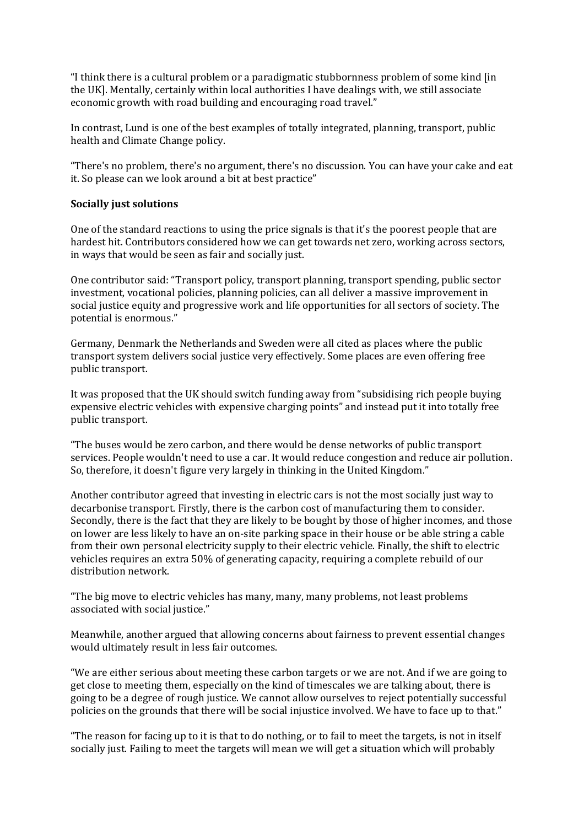"I think there is a cultural problem or a paradigmatic stubbornness problem of some kind [in the UK]. Mentally, certainly within local authorities I have dealings with, we still associate economic growth with road building and encouraging road travel."

In contrast, Lund is one of the best examples of totally integrated, planning, transport, public health and Climate Change policy.

"There's no problem, there's no argument, there's no discussion. You can have your cake and eat it. So please can we look around a bit at best practice"

#### **Socially just solutions**

One of the standard reactions to using the price signals is that it's the poorest people that are hardest hit. Contributors considered how we can get towards net zero, working across sectors, in ways that would be seen as fair and socially just.

One contributor said: "Transport policy, transport planning, transport spending, public sector investment, vocational policies, planning policies, can all deliver a massive improvement in social justice equity and progressive work and life opportunities for all sectors of society. The potential is enormous."

Germany, Denmark the Netherlands and Sweden were all cited as places where the public transport system delivers social justice very effectively. Some places are even offering free public transport.

It was proposed that the UK should switch funding away from "subsidising rich people buying expensive electric vehicles with expensive charging points" and instead put it into totally free public transport.

"The buses would be zero carbon, and there would be dense networks of public transport services. People wouldn't need to use a car. It would reduce congestion and reduce air pollution. So, therefore, it doesn't figure very largely in thinking in the United Kingdom."

Another contributor agreed that investing in electric cars is not the most socially just way to decarbonise transport. Firstly, there is the carbon cost of manufacturing them to consider. Secondly, there is the fact that they are likely to be bought by those of higher incomes, and those on lower are less likely to have an on-site parking space in their house or be able string a cable from their own personal electricity supply to their electric vehicle. Finally, the shift to electric vehicles requires an extra 50% of generating capacity, requiring a complete rebuild of our distribution network.

"The big move to electric vehicles has many, many, many problems, not least problems associated with social justice."

Meanwhile, another argued that allowing concerns about fairness to prevent essential changes would ultimately result in less fair outcomes.

"We are either serious about meeting these carbon targets or we are not. And if we are going to get close to meeting them, especially on the kind of timescales we are talking about, there is going to be a degree of rough justice. We cannot allow ourselves to reject potentially successful policies on the grounds that there will be social injustice involved. We have to face up to that."

"The reason for facing up to it is that to do nothing, or to fail to meet the targets, is not in itself socially just. Failing to meet the targets will mean we will get a situation which will probably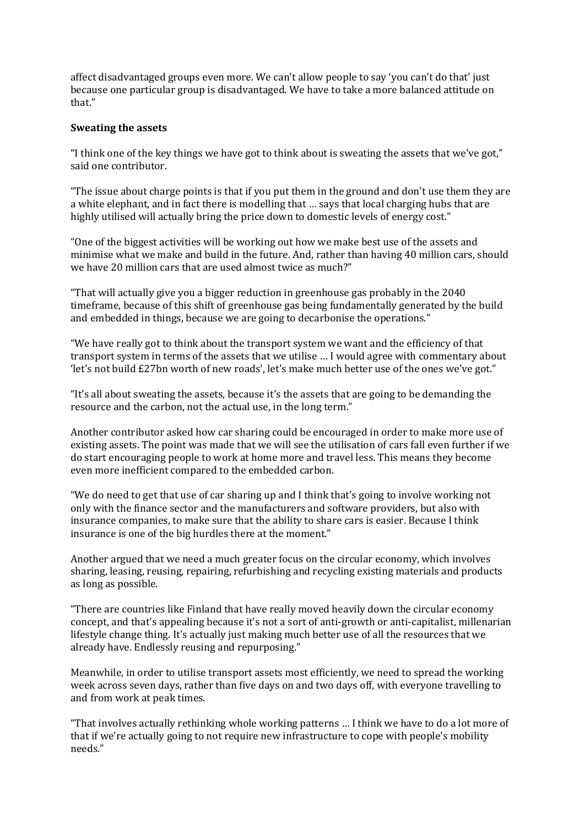affect disadvantaged groups even more. We can't allow people to say 'you can't do that' just because one particular group is disadvantaged. We have to take a more balanced attitude on that."

#### **Sweating the assets**

"I think one of the key things we have got to think about is sweating the assets that we've got," said one contributor.

"The issue about charge points is that if you put them in the ground and don't use them they are a white elephant, and in fact there is modelling that … says that local charging hubs that are highly utilised will actually bring the price down to domestic levels of energy cost."

"One of the biggest activities will be working out how we make best use of the assets and minimise what we make and build in the future. And, rather than having 40 million cars, should we have 20 million cars that are used almost twice as much?"

"That will actually give you a bigger reduction in greenhouse gas probably in the 2040 timeframe, because of this shift of greenhouse gas being fundamentally generated by the build and embedded in things, because we are going to decarbonise the operations."

"We have really got to think about the transport system we want and the efficiency of that transport system in terms of the assets that we utilise … I would agree with commentary about 'let's not build £27bn worth of new roads', let's make much better use of the ones we've got."

"It's all about sweating the assets, because it's the assets that are going to be demanding the resource and the carbon, not the actual use, in the long term."

Another contributor asked how car sharing could be encouraged in order to make more use of existing assets. The point was made that we will see the utilisation of cars fall even further if we do start encouraging people to work at home more and travel less. This means they become even more inefficient compared to the embedded carbon.

"We do need to get that use of car sharing up and I think that's going to involve working not only with the finance sector and the manufacturers and software providers, but also with insurance companies, to make sure that the ability to share cars is easier. Because I think insurance is one of the big hurdles there at the moment."

Another argued that we need a much greater focus on the circular economy, which involves sharing, leasing, reusing, repairing, refurbishing and recycling existing materials and products as long as possible.

"There are countries like Finland that have really moved heavily down the circular economy concept, and that's appealing because it's not a sort of anti-growth or anti-capitalist, millenarian lifestyle change thing. It's actually just making much better use of all the resources that we already have. Endlessly reusing and repurposing."

Meanwhile, in order to utilise transport assets most efficiently, we need to spread the working week across seven days, rather than five days on and two days off, with everyone travelling to and from work at peak times.

"That involves actually rethinking whole working patterns … I think we have to do a lot more of that if we're actually going to not require new infrastructure to cope with people's mobility needs."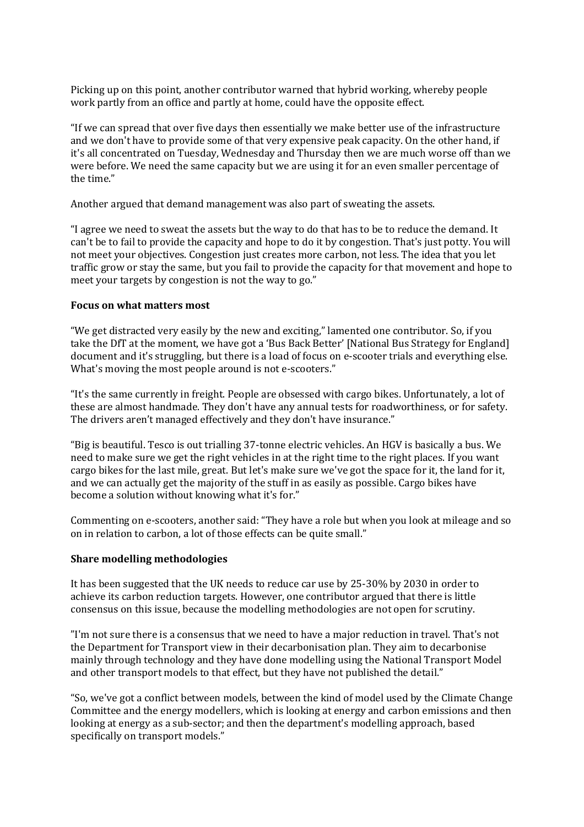Picking up on this point, another contributor warned that hybrid working, whereby people work partly from an office and partly at home, could have the opposite effect.

"If we can spread that over five days then essentially we make better use of the infrastructure and we don't have to provide some of that very expensive peak capacity. On the other hand, if it's all concentrated on Tuesday, Wednesday and Thursday then we are much worse off than we were before. We need the same capacity but we are using it for an even smaller percentage of the time."

Another argued that demand management was also part of sweating the assets.

"I agree we need to sweat the assets but the way to do that has to be to reduce the demand. It can't be to fail to provide the capacity and hope to do it by congestion. That's just potty. You will not meet your objectives. Congestion just creates more carbon, not less. The idea that you let traffic grow or stay the same, but you fail to provide the capacity for that movement and hope to meet your targets by congestion is not the way to go."

#### **Focus on what matters most**

"We get distracted very easily by the new and exciting," lamented one contributor. So, if you take the DfT at the moment, we have got a 'Bus Back Better' [National Bus Strategy for England] document and it's struggling, but there is a load of focus on e-scooter trials and everything else. What's moving the most people around is not e-scooters."

"It's the same currently in freight. People are obsessed with cargo bikes. Unfortunately, a lot of these are almost handmade. They don't have any annual tests for roadworthiness, or for safety. The drivers aren't managed effectively and they don't have insurance."

"Big is beautiful. Tesco is out trialling 37-tonne electric vehicles. An HGV is basically a bus. We need to make sure we get the right vehicles in at the right time to the right places. If you want cargo bikes for the last mile, great. But let's make sure we've got the space for it, the land for it, and we can actually get the majority of the stuff in as easily as possible. Cargo bikes have become a solution without knowing what it's for."

Commenting on e-scooters, another said: "They have a role but when you look at mileage and so on in relation to carbon, a lot of those effects can be quite small."

#### **Share modelling methodologies**

It has been suggested that the UK needs to reduce car use by 25-30% by 2030 in order to achieve its carbon reduction targets. However, one contributor argued that there is little consensus on this issue, because the modelling methodologies are not open for scrutiny.

"I'm not sure there is a consensus that we need to have a major reduction in travel. That's not the Department for Transport view in their decarbonisation plan. They aim to decarbonise mainly through technology and they have done modelling using the National Transport Model and other transport models to that effect, but they have not published the detail."

"So, we've got a conflict between models, between the kind of model used by the Climate Change Committee and the energy modellers, which is looking at energy and carbon emissions and then looking at energy as a sub-sector; and then the department's modelling approach, based specifically on transport models."